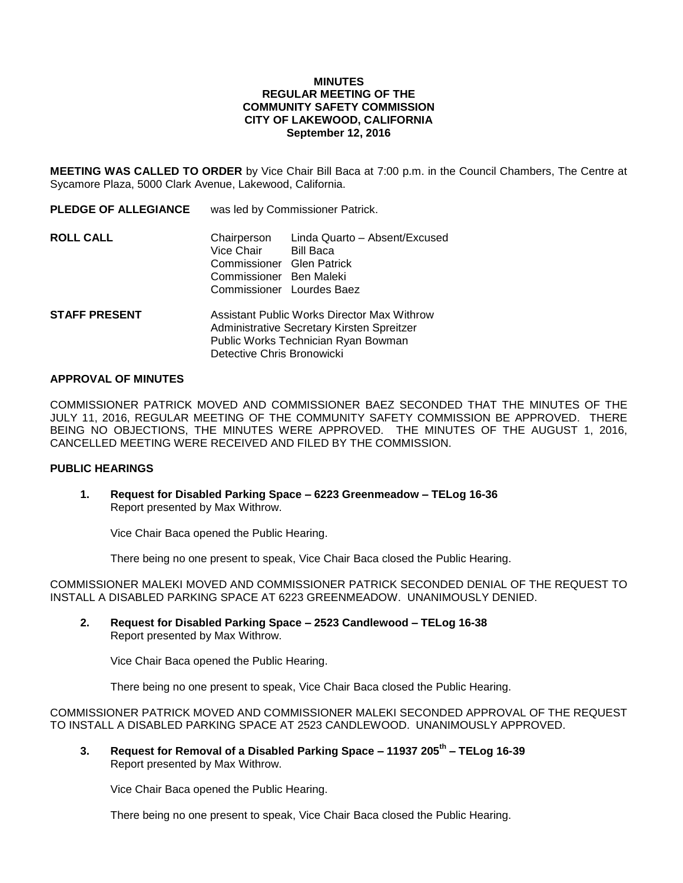# **MINUTES REGULAR MEETING OF THE COMMUNITY SAFETY COMMISSION CITY OF LAKEWOOD, CALIFORNIA September 12, 2016**

**MEETING WAS CALLED TO ORDER** by Vice Chair Bill Baca at 7:00 p.m. in the Council Chambers, The Centre at Sycamore Plaza, 5000 Clark Avenue, Lakewood, California.

| <b>PLEDGE OF ALLEGIANCE</b> | was led by Commissioner Patrick.                                                                                                                               |                                                                                |
|-----------------------------|----------------------------------------------------------------------------------------------------------------------------------------------------------------|--------------------------------------------------------------------------------|
| ROLL CALL                   | Chairperson<br>Vice Chair<br>Commissioner Glen Patrick<br>Commissioner Ben Maleki                                                                              | Linda Quarto - Absent/Excused<br><b>Bill Baca</b><br>Commissioner Lourdes Baez |
| STAFF PRESENT               | Assistant Public Works Director Max Withrow<br>Administrative Secretary Kirsten Spreitzer<br>Public Works Technician Ryan Bowman<br>Detective Chris Bronowicki |                                                                                |

# **APPROVAL OF MINUTES**

COMMISSIONER PATRICK MOVED AND COMMISSIONER BAEZ SECONDED THAT THE MINUTES OF THE JULY 11, 2016, REGULAR MEETING OF THE COMMUNITY SAFETY COMMISSION BE APPROVED. THERE BEING NO OBJECTIONS, THE MINUTES WERE APPROVED. THE MINUTES OF THE AUGUST 1, 2016, CANCELLED MEETING WERE RECEIVED AND FILED BY THE COMMISSION.

#### **PUBLIC HEARINGS**

**1. Request for Disabled Parking Space – 6223 Greenmeadow – TELog 16-36** Report presented by Max Withrow.

Vice Chair Baca opened the Public Hearing.

There being no one present to speak, Vice Chair Baca closed the Public Hearing.

COMMISSIONER MALEKI MOVED AND COMMISSIONER PATRICK SECONDED DENIAL OF THE REQUEST TO INSTALL A DISABLED PARKING SPACE AT 6223 GREENMEADOW. UNANIMOUSLY DENIED.

**2. Request for Disabled Parking Space – 2523 Candlewood – TELog 16-38** Report presented by Max Withrow.

Vice Chair Baca opened the Public Hearing.

There being no one present to speak, Vice Chair Baca closed the Public Hearing.

COMMISSIONER PATRICK MOVED AND COMMISSIONER MALEKI SECONDED APPROVAL OF THE REQUEST TO INSTALL A DISABLED PARKING SPACE AT 2523 CANDLEWOOD. UNANIMOUSLY APPROVED.

**3. Request for Removal of a Disabled Parking Space – 11937 205th – TELog 16-39** Report presented by Max Withrow.

Vice Chair Baca opened the Public Hearing.

There being no one present to speak, Vice Chair Baca closed the Public Hearing.